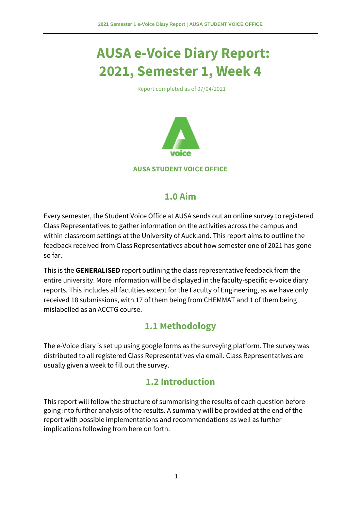# **AUSA e-Voice Diary Report: 2021, Semester 1, Week 4**

Report completed as of 07/04/2021



## **1.0 Aim**

Every semester, the Student Voice Office at AUSA sends out an online survey to registered Class Representatives to gather information on the activities across the campus and within classroom settings at the University of Auckland. This report aims to outline the feedback received from Class Representatives about how semester one of 2021 has gone so far.

This is the **GENERALISED** report outlining the class representative feedback from the entire university. More information will be displayed in the faculty-specific e-voice diary reports. This includes all faculties except for the Faculty of Engineering, as we have only received 18 submissions, with 17 of them being from CHEMMAT and 1 of them being mislabelled as an ACCTG course.

# **1.1 Methodology**

The e-Voice diary is set up using google forms as the surveying platform. The survey was distributed to all registered Class Representatives via email. Class Representatives are usually given a week to fill out the survey.

# **1.2 Introduction**

This report will follow the structure of summarising the results of each question before going into further analysis of the results. A summary will be provided at the end of the report with possible implementations and recommendations as well as further implications following from here on forth.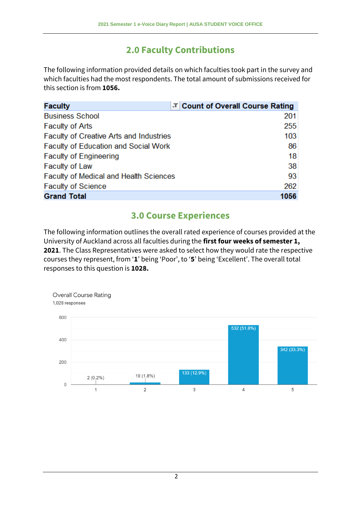## **2.0 Faculty Contributions**

The following information provided details on which faculties took part in the survey and which faculties had the most respondents. The total amount of submissions received for this section is from **1056.**

| <b>Faculty</b>                                 | T Count of Overall Course Rating |
|------------------------------------------------|----------------------------------|
| <b>Business School</b>                         | 201                              |
| <b>Faculty of Arts</b>                         | 255                              |
| <b>Faculty of Creative Arts and Industries</b> | 103                              |
| <b>Faculty of Education and Social Work</b>    | 86                               |
| <b>Faculty of Engineering</b>                  | 18                               |
| <b>Faculty of Law</b>                          | 38                               |
| <b>Faculty of Medical and Health Sciences</b>  | 93                               |
| <b>Faculty of Science</b>                      | 262                              |
| <b>Grand Total</b>                             | 1056                             |

## **3.0 Course Experiences**

The following information outlines the overall rated experience of courses provided at the University of Auckland across all faculties during the **first four weeks of semester 1, 2021**. The Class Representatives were asked to select how they would rate the respective courses they represent, from '**1**' being 'Poor', to '**5**' being 'Excellent'. The overall total responses to this question is **1028.**

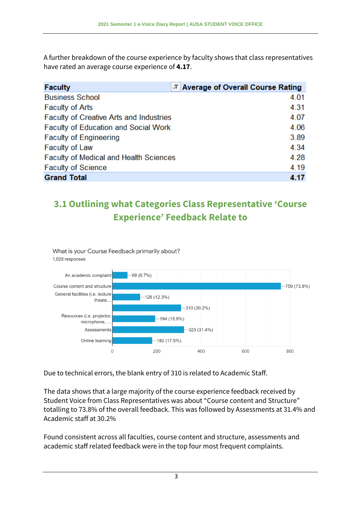A further breakdown of the course experience by faculty shows that class representatives have rated an average course experience of **4.17**.

| <b>Faculty</b>                                | T Average of Overall Course Rating |
|-----------------------------------------------|------------------------------------|
| <b>Business School</b>                        | 4.01                               |
| <b>Faculty of Arts</b>                        | 4.31                               |
| Faculty of Creative Arts and Industries       | 4.07                               |
| <b>Faculty of Education and Social Work</b>   | 4.06                               |
| <b>Faculty of Engineering</b>                 | 3.89                               |
| <b>Faculty of Law</b>                         | 4.34                               |
| <b>Faculty of Medical and Health Sciences</b> | 4.28                               |
| <b>Faculty of Science</b>                     | 4.19                               |
| <b>Grand Total</b>                            | 4.17                               |

# **3.1 Outlining what Categories Class Representative 'Course Experience' Feedback Relate to**



Due to technical errors, the blank entry of 310 is related to Academic Staff.

The data shows that a large majority of the course experience feedback received by Student Voice from Class Representatives was about "Course content and Structure" totalling to 73.8% of the overall feedback. This was followed by Assessments at 31.4% and Academic staff at 30.2%

Found consistent across all faculties, course content and structure, assessments and academic staff related feedback were in the top four most frequent complaints.